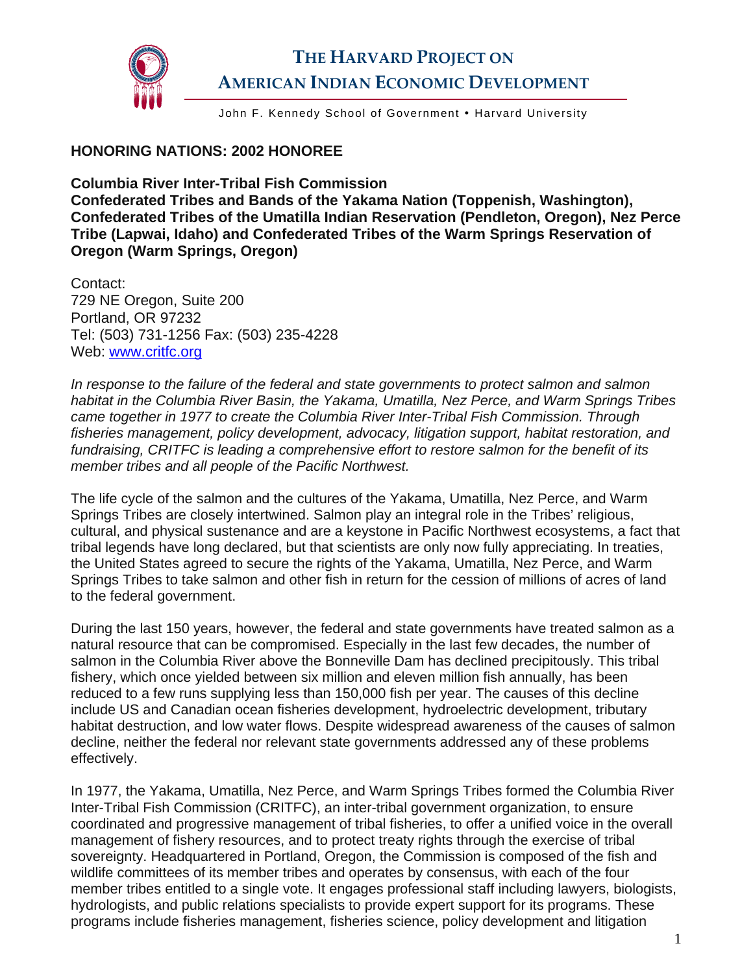

John F. Kennedy School of Government . Harvard University

## **HONORING NATIONS: 2002 HONOREE**

**Columbia River Inter-Tribal Fish Commission Confederated Tribes and Bands of the Yakama Nation (Toppenish, Washington), Confederated Tribes of the Umatilla Indian Reservation (Pendleton, Oregon), Nez Perce Tribe (Lapwai, Idaho) and Confederated Tribes of the Warm Springs Reservation of Oregon (Warm Springs, Oregon)** 

Contact: 729 NE Oregon, Suite 200 Portland, OR 97232 Tel: (503) 731-1256 Fax: (503) 235-4228 Web: [www.critfc.org](http://www.critfc.org/)

*In response to the failure of the federal and state governments to protect salmon and salmon habitat in the Columbia River Basin, the Yakama, Umatilla, Nez Perce, and Warm Springs Tribes came together in 1977 to create the Columbia River Inter-Tribal Fish Commission. Through fisheries management, policy development, advocacy, litigation support, habitat restoration, and fundraising, CRITFC is leading a comprehensive effort to restore salmon for the benefit of its member tribes and all people of the Pacific Northwest.* 

The life cycle of the salmon and the cultures of the Yakama, Umatilla, Nez Perce, and Warm Springs Tribes are closely intertwined. Salmon play an integral role in the Tribes' religious, cultural, and physical sustenance and are a keystone in Pacific Northwest ecosystems, a fact that tribal legends have long declared, but that scientists are only now fully appreciating. In treaties, the United States agreed to secure the rights of the Yakama, Umatilla, Nez Perce, and Warm Springs Tribes to take salmon and other fish in return for the cession of millions of acres of land to the federal government.

During the last 150 years, however, the federal and state governments have treated salmon as a natural resource that can be compromised. Especially in the last few decades, the number of salmon in the Columbia River above the Bonneville Dam has declined precipitously. This tribal fishery, which once yielded between six million and eleven million fish annually, has been reduced to a few runs supplying less than 150,000 fish per year. The causes of this decline include US and Canadian ocean fisheries development, hydroelectric development, tributary habitat destruction, and low water flows. Despite widespread awareness of the causes of salmon decline, neither the federal nor relevant state governments addressed any of these problems effectively.

In 1977, the Yakama, Umatilla, Nez Perce, and Warm Springs Tribes formed the Columbia River Inter-Tribal Fish Commission (CRITFC), an inter-tribal government organization, to ensure coordinated and progressive management of tribal fisheries, to offer a unified voice in the overall management of fishery resources, and to protect treaty rights through the exercise of tribal sovereignty. Headquartered in Portland, Oregon, the Commission is composed of the fish and wildlife committees of its member tribes and operates by consensus, with each of the four member tribes entitled to a single vote. It engages professional staff including lawyers, biologists, hydrologists, and public relations specialists to provide expert support for its programs. These programs include fisheries management, fisheries science, policy development and litigation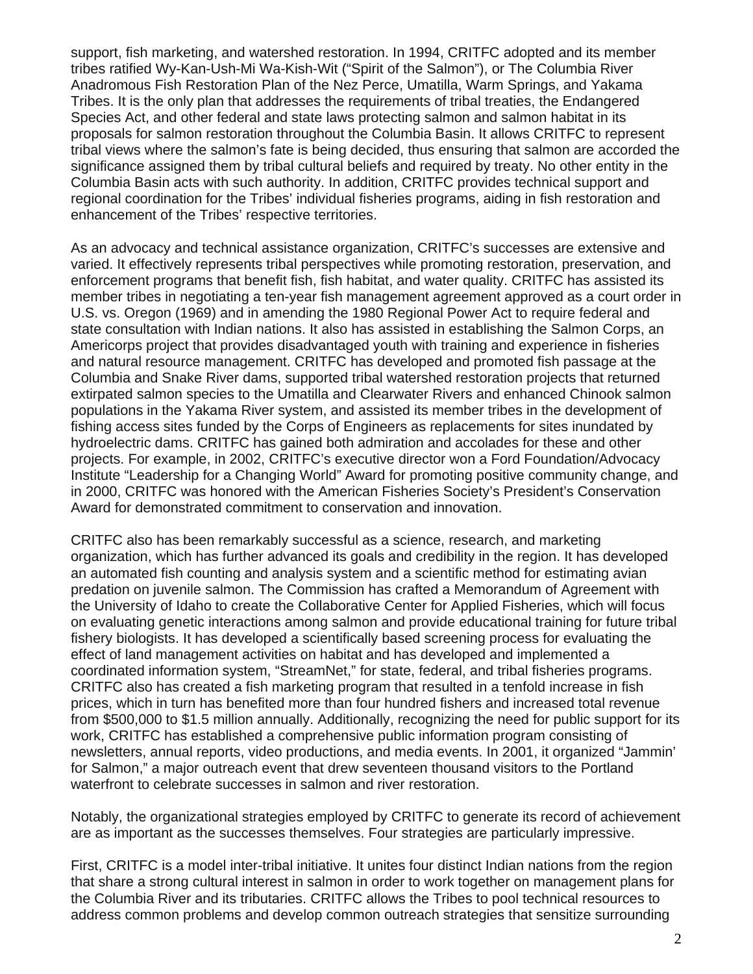support, fish marketing, and watershed restoration. In 1994, CRITFC adopted and its member tribes ratified Wy-Kan-Ush-Mi Wa-Kish-Wit ("Spirit of the Salmon"), or The Columbia River Anadromous Fish Restoration Plan of the Nez Perce, Umatilla, Warm Springs, and Yakama Tribes. It is the only plan that addresses the requirements of tribal treaties, the Endangered Species Act, and other federal and state laws protecting salmon and salmon habitat in its proposals for salmon restoration throughout the Columbia Basin. It allows CRITFC to represent tribal views where the salmon's fate is being decided, thus ensuring that salmon are accorded the significance assigned them by tribal cultural beliefs and required by treaty. No other entity in the Columbia Basin acts with such authority. In addition, CRITFC provides technical support and regional coordination for the Tribes' individual fisheries programs, aiding in fish restoration and enhancement of the Tribes' respective territories.

As an advocacy and technical assistance organization, CRITFC's successes are extensive and varied. It effectively represents tribal perspectives while promoting restoration, preservation, and enforcement programs that benefit fish, fish habitat, and water quality. CRITFC has assisted its member tribes in negotiating a ten-year fish management agreement approved as a court order in U.S. vs. Oregon (1969) and in amending the 1980 Regional Power Act to require federal and state consultation with Indian nations. It also has assisted in establishing the Salmon Corps, an Americorps project that provides disadvantaged youth with training and experience in fisheries and natural resource management. CRITFC has developed and promoted fish passage at the Columbia and Snake River dams, supported tribal watershed restoration projects that returned extirpated salmon species to the Umatilla and Clearwater Rivers and enhanced Chinook salmon populations in the Yakama River system, and assisted its member tribes in the development of fishing access sites funded by the Corps of Engineers as replacements for sites inundated by hydroelectric dams. CRITFC has gained both admiration and accolades for these and other projects. For example, in 2002, CRITFC's executive director won a Ford Foundation/Advocacy Institute "Leadership for a Changing World" Award for promoting positive community change, and in 2000, CRITFC was honored with the American Fisheries Society's President's Conservation Award for demonstrated commitment to conservation and innovation.

CRITFC also has been remarkably successful as a science, research, and marketing organization, which has further advanced its goals and credibility in the region. It has developed an automated fish counting and analysis system and a scientific method for estimating avian predation on juvenile salmon. The Commission has crafted a Memorandum of Agreement with the University of Idaho to create the Collaborative Center for Applied Fisheries, which will focus on evaluating genetic interactions among salmon and provide educational training for future tribal fishery biologists. It has developed a scientifically based screening process for evaluating the effect of land management activities on habitat and has developed and implemented a coordinated information system, "StreamNet," for state, federal, and tribal fisheries programs. CRITFC also has created a fish marketing program that resulted in a tenfold increase in fish prices, which in turn has benefited more than four hundred fishers and increased total revenue from \$500,000 to \$1.5 million annually. Additionally, recognizing the need for public support for its work, CRITFC has established a comprehensive public information program consisting of newsletters, annual reports, video productions, and media events. In 2001, it organized "Jammin' for Salmon," a major outreach event that drew seventeen thousand visitors to the Portland waterfront to celebrate successes in salmon and river restoration.

Notably, the organizational strategies employed by CRITFC to generate its record of achievement are as important as the successes themselves. Four strategies are particularly impressive.

First, CRITFC is a model inter-tribal initiative. It unites four distinct Indian nations from the region that share a strong cultural interest in salmon in order to work together on management plans for the Columbia River and its tributaries. CRITFC allows the Tribes to pool technical resources to address common problems and develop common outreach strategies that sensitize surrounding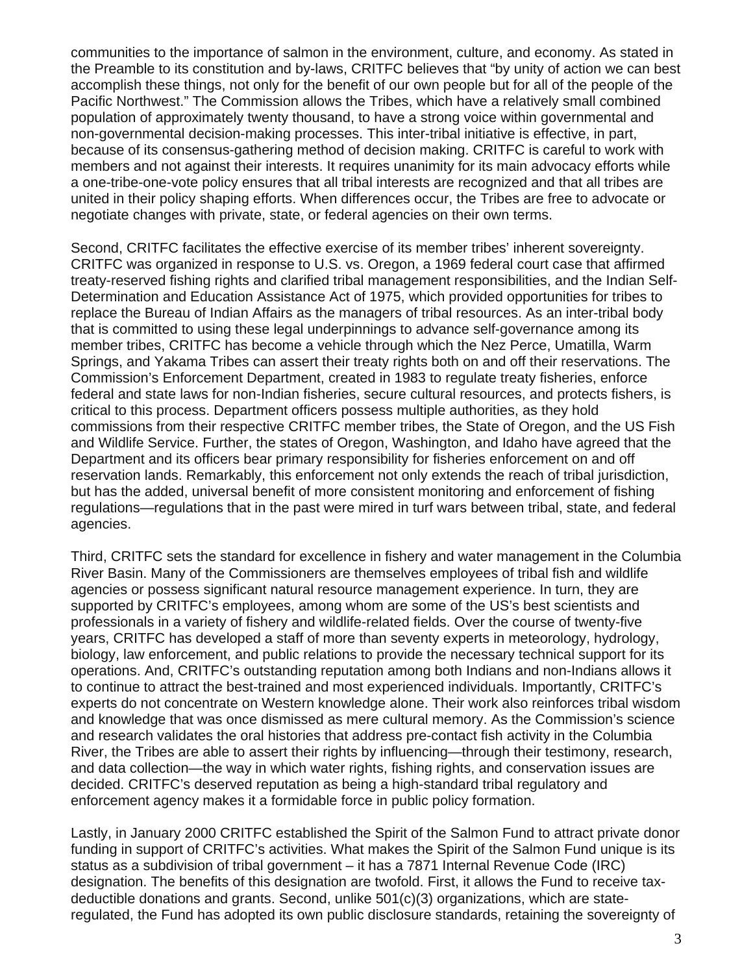communities to the importance of salmon in the environment, culture, and economy. As stated in the Preamble to its constitution and by-laws, CRITFC believes that "by unity of action we can best accomplish these things, not only for the benefit of our own people but for all of the people of the Pacific Northwest." The Commission allows the Tribes, which have a relatively small combined population of approximately twenty thousand, to have a strong voice within governmental and non-governmental decision-making processes. This inter-tribal initiative is effective, in part, because of its consensus-gathering method of decision making. CRITFC is careful to work with members and not against their interests. It requires unanimity for its main advocacy efforts while a one-tribe-one-vote policy ensures that all tribal interests are recognized and that all tribes are united in their policy shaping efforts. When differences occur, the Tribes are free to advocate or negotiate changes with private, state, or federal agencies on their own terms.

Second, CRITFC facilitates the effective exercise of its member tribes' inherent sovereignty. CRITFC was organized in response to U.S. vs. Oregon, a 1969 federal court case that affirmed treaty-reserved fishing rights and clarified tribal management responsibilities, and the Indian Self-Determination and Education Assistance Act of 1975, which provided opportunities for tribes to replace the Bureau of Indian Affairs as the managers of tribal resources. As an inter-tribal body that is committed to using these legal underpinnings to advance self-governance among its member tribes, CRITFC has become a vehicle through which the Nez Perce, Umatilla, Warm Springs, and Yakama Tribes can assert their treaty rights both on and off their reservations. The Commission's Enforcement Department, created in 1983 to regulate treaty fisheries, enforce federal and state laws for non-Indian fisheries, secure cultural resources, and protects fishers, is critical to this process. Department officers possess multiple authorities, as they hold commissions from their respective CRITFC member tribes, the State of Oregon, and the US Fish and Wildlife Service. Further, the states of Oregon, Washington, and Idaho have agreed that the Department and its officers bear primary responsibility for fisheries enforcement on and off reservation lands. Remarkably, this enforcement not only extends the reach of tribal jurisdiction, but has the added, universal benefit of more consistent monitoring and enforcement of fishing regulations—regulations that in the past were mired in turf wars between tribal, state, and federal agencies.

Third, CRITFC sets the standard for excellence in fishery and water management in the Columbia River Basin. Many of the Commissioners are themselves employees of tribal fish and wildlife agencies or possess significant natural resource management experience. In turn, they are supported by CRITFC's employees, among whom are some of the US's best scientists and professionals in a variety of fishery and wildlife-related fields. Over the course of twenty-five years, CRITFC has developed a staff of more than seventy experts in meteorology, hydrology, biology, law enforcement, and public relations to provide the necessary technical support for its operations. And, CRITFC's outstanding reputation among both Indians and non-Indians allows it to continue to attract the best-trained and most experienced individuals. Importantly, CRITFC's experts do not concentrate on Western knowledge alone. Their work also reinforces tribal wisdom and knowledge that was once dismissed as mere cultural memory. As the Commission's science and research validates the oral histories that address pre-contact fish activity in the Columbia River, the Tribes are able to assert their rights by influencing—through their testimony, research, and data collection—the way in which water rights, fishing rights, and conservation issues are decided. CRITFC's deserved reputation as being a high-standard tribal regulatory and enforcement agency makes it a formidable force in public policy formation.

Lastly, in January 2000 CRITFC established the Spirit of the Salmon Fund to attract private donor funding in support of CRITFC's activities. What makes the Spirit of the Salmon Fund unique is its status as a subdivision of tribal government – it has a 7871 Internal Revenue Code (IRC) designation. The benefits of this designation are twofold. First, it allows the Fund to receive taxdeductible donations and grants. Second, unlike 501(c)(3) organizations, which are stateregulated, the Fund has adopted its own public disclosure standards, retaining the sovereignty of